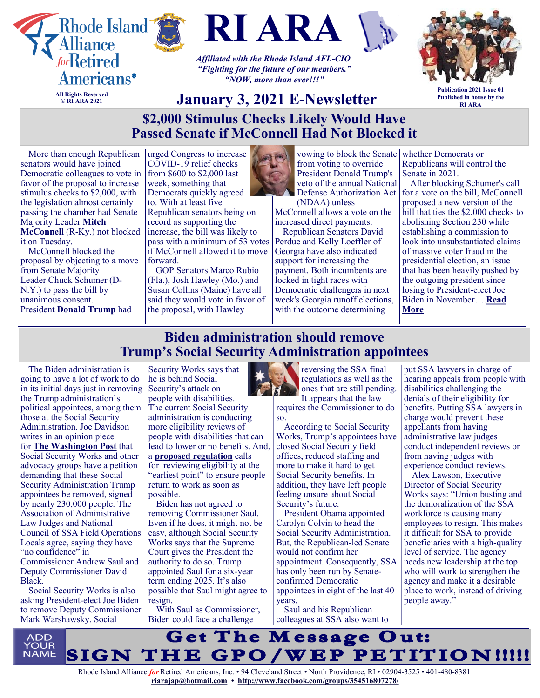



*Affiliated with the Rhode Island AFL-CIO "Fighting for the future of our members." "NOW, more than ever!!!"*



**Publication 2021 Issue 01 Published in house by the RI ARA**

# **January 3, 2021 E-Newsletter**

## **\$2,000 Stimulus Checks Likely Would Have Passed Senate if McConnell Had Not Blocked it**

More than enough Republican senators would have joined Democratic colleagues to vote in favor of the proposal to increase stimulus checks to \$2,000, with the legislation almost certainly passing the chamber had Senate Majority Leader **[Mitch](https://www.newsweek.com/topic/mitch-mcconnell)  [McConnell](https://www.newsweek.com/topic/mitch-mcconnell)** (R-Ky.) not blocked it on Tuesday.

**© RI ARA 2021**

McConnell blocked the proposal by objecting to a move from Senate Majority Leader [Chuck Schumer](https://www.newsweek.com/topic/chuck-schumer) (D-N.Y.) to pass the bill by unanimous consent. President **[Donald Trump](https://www.newsweek.com/topic/donald-trump)** had

urged Congress to increase COVID-19 relief checks from \$600 to \$2,000 last week, something that Democrats quickly agreed to. With at least five Republican senators being on record as supporting the increase, the bill was likely to pass with a minimum of 53 votes if McConnell allowed it to move forward.

GOP Senators Marco Rubio (Fla.), Josh Hawley (Mo.) and Susan Collins (Maine) have all said they would vote in favor of the proposal, with Hawley



veto of the annual National Defense Authorization Act (NDAA) unless

McConnell allows a vote on the increased direct payments.

Republican Senators David Perdue and Kelly Loeffler of Georgia have also indicated support for increasing the payment. Both incumbents are locked in tight races with Democratic challengers in next week's Georgia runoff elections, with the outcome determining

vowing to block the Senate whether Democrats or Republicans will control the Senate in 2021.

> After blocking Schumer's call for a vote on the bill, McConnell proposed a new version of the bill that ties the \$2,000 checks to abolishing Section 230 while establishing a commission to look into unsubstantiated claims of massive voter fraud in the presidential election, an issue that has been heavily pushed by the outgoing president since losing to President-elect Joe [Biden](https://www.newsweek.com/topic/joe-biden) in November….**[Read](https://www.msn.com/en-us/news/politics/dollar2000-stimulus-checks-likely-would-have-passed-senate-if-mcconnell-had-not-blocked/ar-BB1ckQ3C?ocid=SK2DDHP&li=BBnb7Kz)  [More](https://www.msn.com/en-us/news/politics/dollar2000-stimulus-checks-likely-would-have-passed-senate-if-mcconnell-had-not-blocked/ar-BB1ckQ3C?ocid=SK2DDHP&li=BBnb7Kz)**

## **Biden administration should remove Trump's Social Security Administration appointees**

The Biden administration is going to have a lot of work to do in its initial days just in removing the Trump administration's political appointees, among them those at the Social Security Administration. Joe Davidson writes in an opinion piece for **[The Washington Post](https://www.washingtonpost.com/politics/trump-social-security-ssa-biden/2020/12/17/28483610-40b2-11eb-a402-fba110db3b42_story.html)** that Social Security Works and other advocacy groups have a petition demanding that these Social Security Administration Trump appointees be removed, signed by nearly 230,000 people. The Association of Administrative Law Judges and National Council of SSA Field Operations Locals agree, saying they have "no confidence" in Commissioner Andrew Saul and Deputy Commissioner David Black.

Social Security Works is also asking President-elect Joe Biden to remove Deputy Commissioner Mark Warshawsky. Social

Security Works says that he is behind Social Security's attack on people with disabilities. The current Social Security administration is conducting more eligibility reviews of people with disabilities that can lead to lower or no benefits. And, a **[proposed regulation](https://www.federalregister.gov/documents/2019/11/18/2019-24700/rules-regarding-the-frequency-and-notice-of-continuing-disability-reviews)** calls for reviewing eligibility at the "earliest point" to ensure people return to work as soon as possible.

Biden has not agreed to removing Commissioner Saul. Even if he does, it might not be easy, although Social Security Works says that the Supreme Court gives the President the authority to do so. Trump appointed Saul for a six-year term ending 2025. It's also possible that Saul might agree to resign.

With Saul as Commissioner, Biden could face a challenge



reversing the SSA final regulations as well as the ones that are still pending. It appears that the law

requires the Commissioner to do so.

According to Social Security Works, Trump's appointees have closed Social Security field offices, reduced staffing and more to make it hard to get Social Security benefits. In addition, they have left people feeling unsure about Social Security's future.

President Obama appointed Carolyn Colvin to head the Social Security Administration. But, the Republican-led Senate would not confirm her appointment. Consequently, SSA has only been run by Senateconfirmed Democratic appointees in eight of the last 40 years.

Saul and his Republican colleagues at SSA also want to

put SSA lawyers in charge of hearing appeals from people with disabilities challenging the denials of their eligibility for benefits. Putting SSA lawyers in charge would prevent these appellants from having administrative law judges conduct independent reviews or from having judges with experience conduct reviews.

Alex Lawson, Executive Director of Social Security Works says: "Union busting and the demoralization of the SSA workforce is causing many employees to resign. This makes it difficult for SSA to provide beneficiaries with a high-quality level of service. The agency needs new leadership at the top who will work to strengthen the agency and make it a desirable place to work, instead of driving people away."

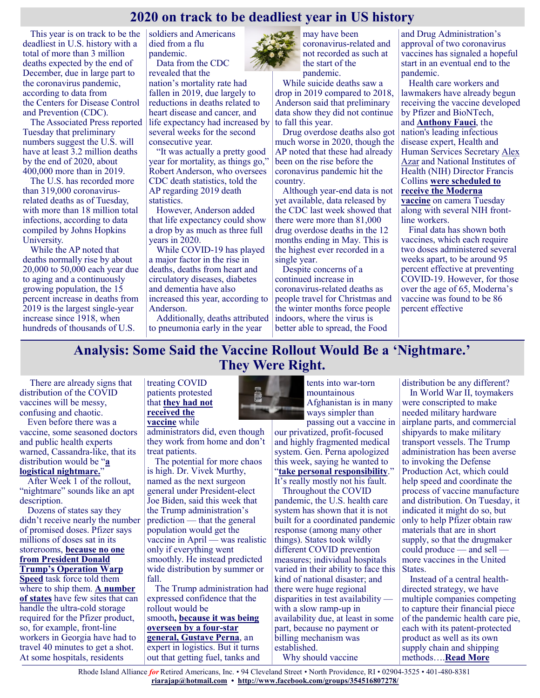#### **2020 on track to be deadliest year in US history**

This year is on track to be the deadliest in U.S. history with a total of more than 3 million deaths expected by the end of December, due in large part to the coronavirus pandemic, according to data from the [Centers for Disease Control](https://www.cdc.gov/nchs/nvss/covid-19.htm#understanding-death-data-quality)  [and Prevention \(CDC\).](https://www.cdc.gov/nchs/nvss/covid-19.htm#understanding-death-data-quality)

[The Associated Press](https://apnews.com/article/pandemics-new-york-coronavirus-pandemic-united-states-e2bc856b6ec45563b84ee2e87ae8d5e7?utm_medium=AP&utm_campaign=SocialFlow&utm_source=Twitter) reported Tuesday that preliminary numbers suggest the U.S. will have at least 3.2 million deaths by the end of 2020, about 400,000 more than in 2019.

The U.S. has recorded more than 319,000 coronavirusrelated deaths as of Tuesday, with more than 18 million total infections, according to data [compiled by Johns Hopkins](https://coronavirus.jhu.edu/map.html)  [University.](https://coronavirus.jhu.edu/map.html)

While the AP noted that deaths normally rise by about 20,000 to 50,000 each year due to aging and a continuously growing population, the 15 percent increase in deaths from 2019 is the largest single-year increase since 1918, when hundreds of thousands of U.S.

soldiers and Americans died from a flu pandemic.

Data from the CDC revealed that the nation's mortality rate had fallen in 2019, due largely to reductions in deaths related to heart disease and cancer, and life expectancy had increased by several weeks for the second consecutive year.

"It was actually a pretty good year for mortality, as things go," Robert Anderson, who oversees CDC death statistics, told the AP regarding 2019 death statistics.

However, Anderson added that life expectancy could show a drop by as much as three full years in 2020.

While COVID-19 has played a major factor in the rise in deaths, deaths from heart and circulatory diseases, diabetes and dementia have also increased this year, according to Anderson.

Additionally, deaths attributed to pneumonia early in the year

may have been coronavirus-related and not recorded as such at the start of the pandemic.

While suicide deaths saw a drop in 2019 compared to 2018, Anderson said that preliminary data show they did not continue to fall this year.

Drug overdose deaths also got much worse in 2020, though the AP noted that these had already been on the rise before the coronavirus pandemic hit the country.

Although year-end data is not yet available, data released by the CDC last week showed that there were more than 81,000 drug overdose deaths in the 12 months ending in May. This is the highest ever recorded in a single year.

Despite concerns of a continued increase in coronavirus-related deaths as people travel for Christmas and the winter months force people indoors, where the virus is better able to spread, the Food

and Drug Administration's approval of two coronavirus vaccines has signaled a hopeful start in an eventual end to the pandemic.

Health care workers and lawmakers have already begun receiving the vaccine developed by Pfizer and BioNTech, and **[Anthony Fauci](https://thehill.com/people/anthony-fauci)**, the nation's leading infectious disease expert, Health and Human Services Secretary [Alex](https://thehill.com/person/alex-azar)  [Azar](https://thehill.com/person/alex-azar) and National Institutes of Health (NIH) Director Francis [Collins](https://thehill.com/person/francis-collins) **[were scheduled to](https://thehill.com/video/in-the-news/531260-watch-live-dr-fauci-is-administered-the-covid-19-vaccine)  [receive the Moderna](https://thehill.com/video/in-the-news/531260-watch-live-dr-fauci-is-administered-the-covid-19-vaccine)  [vaccine](https://thehill.com/video/in-the-news/531260-watch-live-dr-fauci-is-administered-the-covid-19-vaccine)** on camera Tuesday along with several NIH front-

Final data has shown both vaccines, which each require two doses administered several weeks apart, to be around 95 percent effective at preventing COVID-19. However, for those over the age of 65, Moderna's vaccine was found to be 86 percent effective

line workers.

#### **Analysis: Some Said the Vaccine Rollout Would Be a 'Nightmare.' They Were Right.**

There are already signs that distribution of the COVID vaccines will be messy, confusing and chaotic.

Even before there was a vaccine, some seasoned doctors and public health experts warned, Cassandra-like, that its distribution would be "**[a](https://www.washingtonpost.com/outlook/2020/09/25/covid-vaccine-distribution-logistics/)  [logistical nightmare.](https://www.washingtonpost.com/outlook/2020/09/25/covid-vaccine-distribution-logistics/)**"

#### After Week 1 of the rollout,

"nightmare" sounds like an apt description.

Dozens of states say they didn't receive nearly the number of promised doses. Pfizer says millions of doses sat in its storerooms, **[because no one](https://www.npr.org/2020/12/18/948030235/pfizer-says-millions-of-vaccine-doses-are-ready-but-states-say-shipments-were-cu)  [from President Donald](https://www.npr.org/2020/12/18/948030235/pfizer-says-millions-of-vaccine-doses-are-ready-but-states-say-shipments-were-cu)  [Trump's Operation Warp](https://www.npr.org/2020/12/18/948030235/pfizer-says-millions-of-vaccine-doses-are-ready-but-states-say-shipments-were-cu)  [Speed](https://www.npr.org/2020/12/18/948030235/pfizer-says-millions-of-vaccine-doses-are-ready-but-states-say-shipments-were-cu)** task force told them where to ship them. **[A number](https://khn.org/news/article/inside-the-first-chaotic-days-of-the-effort-to-vaccinate-america/)  [of states](https://khn.org/news/article/inside-the-first-chaotic-days-of-the-effort-to-vaccinate-america/)** have few sites that can handle the ultra-cold storage required for the Pfizer product, so, for example, front-line workers in Georgia have had to travel 40 minutes to get a shot. At some hospitals, residents

treating COVID patients protested that **[they had not](https://www.sfchronicle.com/health/article/Stanford-doctors-protest-vaccine-plan-saying-15814502.php)  [received the](https://www.sfchronicle.com/health/article/Stanford-doctors-protest-vaccine-plan-saying-15814502.php)  [vaccine](https://www.sfchronicle.com/health/article/Stanford-doctors-protest-vaccine-plan-saying-15814502.php)** while

administrators did, even though they work from home and don't treat patients.

The potential for more chaos is high. Dr. Vivek Murthy, named as the next surgeon general under President-elect Joe Biden, said this week that the Trump administration's prediction — that the general population would get the vaccine in April — was realistic only if everything went smoothly. He instead predicted wide distribution by summer or fall.

The Trump administration had expressed confidence that the rollout would be smooth**, [because it was being](https://apnews.com/article/donald-trump-politics-coronavirus-pandemic-4f0591ffa6ec392e884652f5fda75194)  [overseen by a four](https://apnews.com/article/donald-trump-politics-coronavirus-pandemic-4f0591ffa6ec392e884652f5fda75194)-star [general, Gustave Perna](https://apnews.com/article/donald-trump-politics-coronavirus-pandemic-4f0591ffa6ec392e884652f5fda75194)**, an expert in logistics. But it turns out that getting fuel, tanks and



tents into war-torn mountainous Afghanistan is in many ways simpler than passing out a vaccine in

our privatized, profit-focused and highly fragmented medical system. Gen. Perna apologized this week, saying he wanted to "**[take personal responsibility](https://www.washingtonpost.com/health/2020/12/19/vaccine-states-operation-warp-speed/)**." It's really mostly not his fault.

Throughout the COVID pandemic, the U.S. health care system has shown that it is not built for a coordinated pandemic response (among many other things). States took wildly different COVID prevention measures; individual hospitals varied in their ability to face this kind of national disaster; and there were huge regional disparities in test availability with a slow ramp-up in availability due, at least in some part, because no payment or billing mechanism was established. Why should vaccine

distribution be any different? In World War II, toymakers were conscripted to make needed military hardware airplane parts, and commercial shipyards to make military transport vessels. The Trump administration has been averse to invoking the Defense Production Act, which could help speed and coordinate the process of vaccine manufacture and distribution. On Tuesday, it indicated it might do so, but only to help Pfizer obtain raw materials that are in short supply, so that the drugmaker could produce — and sell more vaccines in the United States.

Instead of a central healthdirected strategy, we have multiple companies competing to capture their financial piece of the pandemic health care pie, each with its patent-protected product as well as its own supply chain and shipping methods….**[Read More](https://khn.org/news/article/analysis-some-said-the-vaccine-rollout-would-be-a-nightmare-they-were-right/)**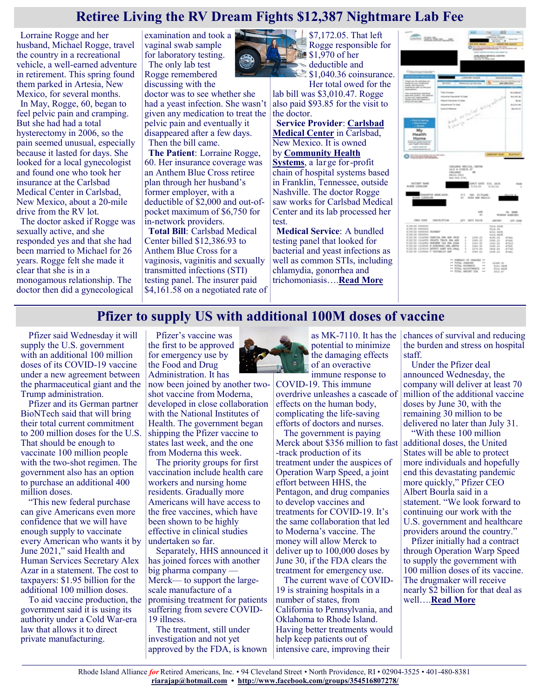#### **Retiree Living the RV Dream Fights \$12,387 Nightmare Lab Fee**

Lorraine Rogge and her husband, Michael Rogge, travel the country in a recreational vehicle, a well-earned adventure in retirement. This spring found them parked in Artesia, New Mexico, for several months.

In May, Rogge, 60, began to feel pelvic pain and cramping. But she had had a total hysterectomy in 2006, so the pain seemed unusual, especially because it lasted for days. She looked for a local gynecologist and found one who took her insurance at the Carlsbad Medical Center in Carlsbad, New Mexico, about a 20-mile drive from the RV lot.

The doctor asked if Rogge was sexually active, and she responded yes and that she had been married to Michael for 26 years. Rogge felt she made it clear that she is in a monogamous relationship. The doctor then did a gynecological

examination and took a vaginal swab sample for laboratory testing. The only lab test Rogge remembered discussing with the

doctor was to see whether she

had a yeast infection. She wasn't given any medication to treat the pelvic pain and eventually it disappeared after a few days. Then the bill came.

**The Patient**: Lorraine Rogge, 60. Her insurance coverage was an Anthem Blue Cross retiree plan through her husband's former employer, with a deductible of \$2,000 and out-ofpocket maximum of \$6,750 for in-network providers.

**Total Bill**: Carlsbad Medical Center billed \$12,386.93 to Anthem Blue Cross for a vaginosis, vaginitis and sexually transmitted infections (STI) testing panel. The insurer paid \$4,161.58 on a negotiated rate of



deductible and \$1,040.36 coinsurance. Her total owed for the lab bill was \$3,010.47. Rogge

also paid \$93.85 for the visit to the doctor.

**Service Provider**: **[Carlsbad](https://www.carlsbadmedicalcenter.com/)  [Medical Center](https://www.carlsbadmedicalcenter.com/)** in Carlsbad, New Mexico. It is owned by **[Community Health](https://www.chs.net/)  [Systems](https://www.chs.net/)**, a large for-profit chain of hospital systems based in Franklin, Tennessee, outside Nashville. The doctor Rogge saw works for Carlsbad Medical Center and its lab processed her test.

**Medical Service**: A bundled testing panel that looked for bacterial and yeast infections as well as common STIs, including chlamydia, gonorrhea and trichomoniasis….**[Read More](https://khn.org/news/article/retiree-living-the-rv-dream-fights-12387-nightmare-lab-fee/)**

|                                                                                                                                                                                                                                           |                                                                                |                                                                | <b>DISCOVERING CONTACT</b>                                     |                                                                            |                   |
|-------------------------------------------------------------------------------------------------------------------------------------------------------------------------------------------------------------------------------------------|--------------------------------------------------------------------------------|----------------------------------------------------------------|----------------------------------------------------------------|----------------------------------------------------------------------------|-------------------|
|                                                                                                                                                                                                                                           |                                                                                |                                                                |                                                                |                                                                            |                   |
| Characteristic students<br><b>Service Controller Controller Service</b>                                                                                                                                                                   | 1,000                                                                          |                                                                |                                                                |                                                                            |                   |
| ank your for administration<br>hands for your imagination<br>primary self-up men your<br><b>STATISTICS</b>                                                                                                                                |                                                                                |                                                                | - 14                                                           |                                                                            |                   |
| that traumerized basifiers.<br>painting comic - Fel basical<br>to man and manufacturers.<br><b>Sold larm to calendar at</b><br>Add for other state state.                                                                                 | Total Chester<br>control Payment To Date<br>Peters Payment To Date             |                                                                |                                                                | \$13,000.00<br><b>Bird, Alertonia</b><br><b>MAR</b>                        |                   |
|                                                                                                                                                                                                                                           | <b>Interference To East</b><br><b><i><u>Instrument</u></i></b>                 |                                                                | Acces of color                                                 | <b>Reduction</b><br><b>Michell</b>                                         |                   |
| ---<br>                                                                                                                                                                                                                                   | and definited                                                                  |                                                                |                                                                |                                                                            |                   |
| My<br>Health:<br>Home<br>A statute central mone for                                                                                                                                                                                       |                                                                                |                                                                |                                                                |                                                                            |                   |
| ---<br><b>General Models and</b>                                                                                                                                                                                                          |                                                                                |                                                                |                                                                |                                                                            |                   |
| <b><i>PARTIES SPAINT</i></b>                                                                                                                                                                                                              |                                                                                |                                                                | A MATA ANT TAXAB                                               | <b><i>BRATIS AT</i></b>                                                    |                   |
|                                                                                                                                                                                                                                           |                                                                                |                                                                |                                                                |                                                                            |                   |
|                                                                                                                                                                                                                                           | OUS/BAD WESTERL OWNER<br>2431 W PERMIT ST<br>CARLINGS<br>\$8225-0555           | 500                                                            |                                                                |                                                                            |                   |
| <b>INTIARY BANE</b><br>ROOM LOAN-DRE                                                                                                                                                                                                      | 844-555-2745                                                                   | ADMIT SATE DOG, SHOW<br>\$7,000,000                            | \$20,000                                                       |                                                                            | <b>PACK</b><br>×. |
| <b>ENANT'S RAILWOX</b><br><b>IF LORRATOR</b>                                                                                                                                                                                              | F/C<br>$\pm$                                                                   | 201.017600<br>SOIL SIN HEESS                                   |                                                                |                                                                            |                   |
|                                                                                                                                                                                                                                           |                                                                                | 30E<br>40                                                      |                                                                | tor. most<br><b>KODDA KOROZET</b>                                          |                   |
| OIRE COST<br>180318106                                                                                                                                                                                                                    |                                                                                | OTT INCT NOCK                                                  | <b>Jacquit</b><br>-------                                      | OF OR<br>--------                                                          |                   |
| 5/28/26 000002<br>6/tm/26 0000001<br>6/28/20 0000001 FACHERY<br>6/19/26 000001                                                                                                                                                            |                                                                                |                                                                | 1214.3028<br>5224.90<br>631-3878<br>1014.8809                  |                                                                            |                   |
| 5/20/20 IXD4747 CM602A DIS 9/0 2020<br>SUCURE KARD INVESTIGATION ON AN<br>NATIONAL AND REMOVED EXPLOSIVE OCCUPATION<br>S/22/20 1X15101 R. GORORRO, THIS ANDRE<br>S/20720 13120118 SATECT AGET BOX.2850<br>NASCIST TECHNIC T VACCASCAS AND | $\overline{a}$<br>$\equiv$<br>$\equiv$<br>$\frac{1}{2}$<br>$\overline{a}$<br>÷ | 1045.23<br>1045.21<br>1040.92<br>1040.23<br>1279.03<br>1041.31 | 6180.82<br>1045.23<br>1243.92<br>1043.23<br>1826.80<br>1043-23 | arture.<br>ines.<br><b>STROD</b><br><b>STEAL</b><br>ATCHIN<br><b>STAKE</b> |                   |

#### **Pfizer to supply US with additional 100M doses of vaccine**

Pfizer said Wednesday it will supply the U.S. government with an additional 100 million doses of its COVID-19 vaccine under a new agreement between the pharmaceutical giant and the Trump administration.

Pfizer and its German partner BioNTech said that will bring their total current commitment to 200 million doses for the U.S. That should be enough to vaccinate 100 million people with the two-shot regimen. The government also has an option to purchase an additional 400 million doses.

"This new federal purchase can give Americans even more confidence that we will have enough supply to vaccinate every American who wants it by June 2021," said Health and Human Services Secretary Alex Azar in a statement. The cost to taxpayers: \$1.95 billion for the additional 100 million doses.

To aid vaccine production, the government said it is using its authority under a Cold War-era law that allows it to direct private manufacturing.

Pfizer's vaccine was the first to be approved for emergency use by the Food and Drug Administration. It has

now been joined by another twoshot vaccine from Moderna, developed in close collaboration with the National Institutes of Health. The government began shipping the Pfizer vaccine to states last week, and the one from Moderna this week.

The priority groups for first vaccination include health care workers and nursing home residents. Gradually more Americans will have access to the free vaccines, which have been shown to be highly effective in clinical studies undertaken so far.

Separately, HHS announced it has joined forces with another big pharma company — Merck— to support the largescale manufacture of a promising treatment for patients suffering from severe COVID-19 illness.

The treatment, still under investigation and not yet approved by the FDA, is known



as MK-7110. It has the potential to minimize the damaging effects of an overactive immune response to

COVID-19. This immune overdrive unleashes a cascade of effects on the human body, complicating the life-saving efforts of doctors and nurses.

The government is paying Merck about \$356 million to fast -track production of its treatment under the auspices of Operation Warp Speed, a joint effort between HHS, the Pentagon, and drug companies to develop vaccines and treatments for COVID-19. It's the same collaboration that led to Moderna's vaccine. The money will allow Merck to deliver up to 100,000 doses by June 30, if the FDA clears the treatment for emergency use.

The current wave of COVID-19 is straining hospitals in a number of states, from California to Pennsylvania, and Oklahoma to Rhode Island. Having better treatments would help keep patients out of intensive care, improving their

chances of survival and reducing the burden and stress on hospital staff.

Under the Pfizer deal announced Wednesday, the company will deliver at least 70 million of the additional vaccine doses by June 30, with the remaining 30 million to be delivered no later than July 31.

"With these 100 million additional doses, the United States will be able to protect more individuals and hopefully end this devastating pandemic more quickly," Pfizer CEO Albert Bourla said in a statement. "We look forward to continuing our work with the U.S. government and healthcare providers around the country."

Pfizer initially had a contract through Operation Warp Speed to supply the government with 100 million doses of its vaccine. The drugmaker will receive nearly \$2 billion for that deal as well….**[Read More](https://apnews.com/article/health-coronavirus-pandemic-coronavirus-vaccine-f35259fee53146887591c32fd8ca6fdb?utm_campaign=KHN:+First+Edition&utm_medium=email&_hsmi=104096808&_hsenc=p2ANqtz--ps6sY7Fg0C2YdkLBJXwnfM2BxGCet6dQE9gMz8LdJoz3BY6kQX59JQN2Fq8IAKwJ6dX)**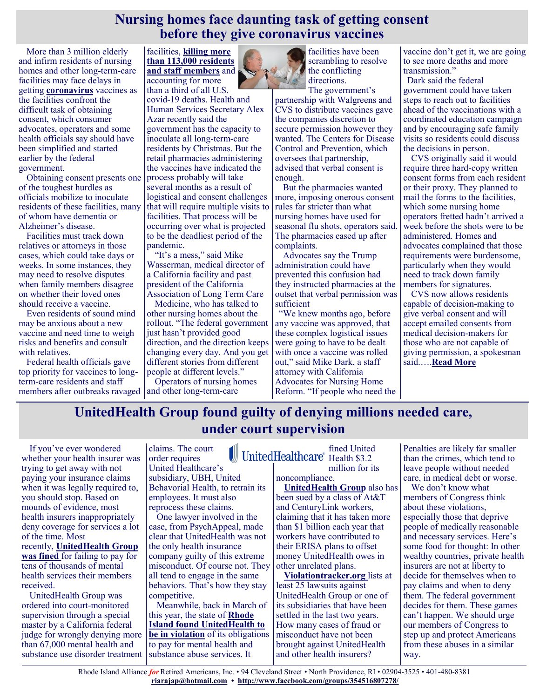## **Nursing homes face daunting task of getting consent before they give coronavirus vaccines**

More than 3 million elderly and infirm residents of nursing homes and other long-term-care facilities may face delays in getting **[coronavirus](https://www.washingtonpost.com/coronavirus/?itid=lk_inline_manual_2)** vaccines as the facilities confront the difficult task of obtaining consent, which consumer advocates, operators and some health officials say should have been simplified and started earlier by the federal government.

Obtaining consent presents one of the toughest hurdles as officials mobilize to inoculate residents of these facilities, many of whom have dementia or Alzheimer's disease.

Facilities must track down relatives or attorneys in those cases, which could take days or weeks. In some instances, they may need to resolve disputes when family members disagree on whether their loved ones should receive a vaccine.

Even residents of sound mind may be anxious about a new vaccine and need time to weigh risks and benefits and consult with relatives.

Federal health officials gave top priority for vaccines to longterm-care residents and staff members after outbreaks ravaged and other long-term-care

facilities, **[killing more](https://www.kff.org/coronavirus-covid-19/issue-brief/state-covid-19-data-and-policy-actions/#longtermcare)  [than 113,000 residents](https://www.kff.org/coronavirus-covid-19/issue-brief/state-covid-19-data-and-policy-actions/#longtermcare)  [and staff members](https://www.kff.org/coronavirus-covid-19/issue-brief/state-covid-19-data-and-policy-actions/#longtermcare)** and accounting for more than a third of all U.S.

covid-19 deaths. Health and Human Services Secretary Alex Azar recently said the government has the capacity to inoculate all long-term-care residents by Christmas. But the retail pharmacies administering the vaccines have indicated the process probably will take several months as a result of logistical and consent challenges that will require multiple visits to facilities. That process will be occurring over what is projected to be the deadliest period of the pandemic.

"It's a mess," said Mike Wasserman, medical director of a California facility and past president of the California Association of Long Term Care

Medicine, who has talked to other nursing homes about the rollout. "The federal government just hasn't provided good direction, and the direction keeps changing every day. And you get different stories from different people at different levels."

Operators of nursing homes

facilities have been scrambling to resolve the conflicting directions.

The government's partnership with Walgreens and CVS to distribute vaccines gave the companies discretion to secure permission however they wanted. The Centers for Disease Control and Prevention, which oversees that partnership, advised that verbal consent is enough.

But the pharmacies wanted more, imposing onerous consent rules far stricter than what nursing homes have used for seasonal flu shots, operators said. The pharmacies eased up after complaints.

Advocates say the Trump administration could have prevented this confusion had they instructed pharmacies at the outset that verbal permission was sufficient

"We knew months ago, before any vaccine was approved, that these complex logistical issues were going to have to be dealt with once a vaccine was rolled out," said Mike Dark, a staff attorney with California Advocates for Nursing Home Reform. "If people who need the vaccine don't get it, we are going to see more deaths and more transmission." Dark said the federal government could have taken steps to reach out to facilities ahead of the vaccinations with a coordinated education campaign and by encouraging safe family visits so residents could discuss the decisions in person.

CVS originally said it would require three hard-copy written consent forms from each resident or their proxy. They planned to mail the forms to the facilities, which some nursing home operators fretted hadn't arrived a week before the shots were to be administered. Homes and advocates complained that those requirements were burdensome, particularly when they would need to track down family members for signatures.

CVS now allows residents capable of decision-making to give verbal consent and will accept emailed consents from medical decision-makers for those who are not capable of giving permission, a spokesman said.….**[Read More](https://www.washingtonpost.com/health/nursing-homes-covid-vaccine-consent-delays/2020/12/19/730ecd4a-3fd5-11eb-8bc0-ae155bee4aff_story.html?utm_campaign=KHN:+First+Edition&utm_medium=email&_hsmi=103810129&_hsenc=p2ANqtz-9xHGRHHpcEl3IRqqJQoS7KOHYk0C2FLw7d_F)**

## **UnitedHealth Group found guilty of denying millions needed care, under court supervision**

If you've ever wondered whether your health insurer was trying to get away with not paying your insurance claims when it was legally required to, you should stop. Based on mounds of evidence, most health insurers inappropriately deny coverage for services a lot of the time. Most recently, **[UnitedHealth Group](https://justcareusa.org/judge-finds-unitedhealth-illegally-denied-care-to-thousands/)  [was fined](https://justcareusa.org/judge-finds-unitedhealth-illegally-denied-care-to-thousands/)** for failing to pay for tens of thousands of mental health services their members received.

UnitedHealth Group was ordered into court-monitored supervision through a special master by a California federal judge for wrongly denying more than 67,000 mental health and substance use disorder treatment claims. The court order requires United Healthcare's subsidiary, UBH, United Behavorial Health, to retrain its employees. It must also reprocess these claims.

One lawyer involved in the case, from PsychAppeal, made clear that UnitedHealth was not the only health insurance company guilty of this extreme misconduct. Of course not. They all tend to engage in the same behaviors. That's how they stay competitive.

Meanwhile, back in March of this year, the state of **[Rhode](http://ohic.ri.gov/documents/2020/March/United/UHC%20MCE_033020_WEBSITE.pdf)  [Island found UnitedHealth to](http://ohic.ri.gov/documents/2020/March/United/UHC%20MCE_033020_WEBSITE.pdf)  [be in violation](http://ohic.ri.gov/documents/2020/March/United/UHC%20MCE_033020_WEBSITE.pdf)** of its obligations to pay for mental health and substance abuse services. It

#### fined United  $\Box$  UnitedHealthcare  $\Box$  Health \$3.2 million for its noncompliance.

**[UnitedHealth Group](https://www.healthcarefinancenews.com/news/class-action-lawsuit-claims-unitedhealthcare-diverts-plan-funds-settle-unrelated-disputes#:~:text=Workers%20who%20have%20a%20health,to%20settle%20unrelated%20payment%20disputes.)** also has been sued by a class of At&T and CenturyLink workers, claiming that it has taken more than \$1 billion each year that workers have contributed to their ERISA plans to offset money UnitedHealth owes in other unrelated plans.

**[Violationtracker.org](https://violationtracker.goodjobsfirst.org/prog.php?parent=unitedhealth-group&order=pen_year&sort=desc)** lists at least 25 lawsuits against UnitedHealth Group or one of its subsidiaries that have been settled in the last two years. How many cases of fraud or misconduct have not been brought against UnitedHealth and other health insurers?

Penalties are likely far smaller than the crimes, which tend to leave people without needed care, in medical debt or worse.

We don't know what members of Congress think about these violations, especially those that deprive people of medically reasonable and necessary services. Here's some food for thought: In other wealthy countries, private health insurers are not at liberty to decide for themselves when to pay claims and when to deny them. The federal government decides for them. These games can't happen. We should urge our members of Congress to step up and protect Americans from these abuses in a similar way.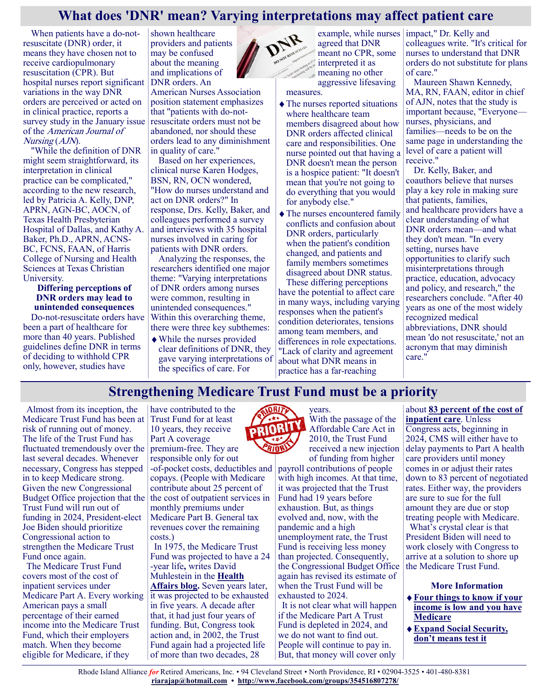## **What does 'DNR' mean? Varying interpretations may affect patient care**

When patients have a do-notresuscitate (DNR) order, it means they have chosen not to receive cardiopulmonary resuscitation (CPR). But hospital nurses report significant variations in the way DNR orders are perceived or acted on in clinical practice, reports a survey study in the January issue of the American Journal of Nursing (AJN).

"While the definition of DNR might seem straightforward, its interpretation in clinical [practice](https://medicalxpress.com/tags/clinical+practice/) can be complicated," according to the new research, led by Patricia A. Kelly, DNP, APRN, AGN-BC, AOCN, of Texas Health Presbyterian Hospital of Dallas, and Kathy A. Baker, Ph.D., APRN, ACNS-BC, FCNS, FAAN, of Harris College of Nursing and Health Sciences at Texas Christian University.

#### **Differing perceptions of DNR orders may lead to unintended consequences**

Do-not-resuscitate orders have been a part of healthcare for more than 40 years. Published guidelines define DNR in terms of deciding to withhold CPR only, however, studies have

shown healthcare providers and patients may be confused about the meaning and implications of DNR orders. An

American Nurses Association position statement emphasizes that "patients with do-notresuscitate orders must not be abandoned, nor should these orders lead to any diminishment in quality of care."

Based on her experiences, clinical [nurse](https://medicalxpress.com/tags/nurse/) Karen Hodges, BSN, RN, OCN wondered, "How do nurses understand and act on DNR orders?" In response, Drs. Kelly, Baker, and colleagues performed a survey and interviews with 35 hospital [nurses](https://medicalxpress.com/tags/hospital+nurses/) involved in caring for patients with DNR orders.

Analyzing the responses, the researchers identified one major theme: "Varying interpretations of DNR orders among nurses were common, resulting in unintended consequences." Within this overarching theme, there were three key subthemes:

While the nurses provided clear definitions of DNR, they gave varying interpretations of the specifics of care. For



agreed that DNR meant no CPR, some interpreted it as meaning no other aggressive lifesaving

measures.

- The nurses reported situations where healthcare team members disagreed about how DNR orders affected clinical care and responsibilities. One nurse pointed out that having a DNR doesn't mean the person is a hospice patient: "It doesn't mean that you're not going to do everything that you would for anybody else."
- The nurses encountered family conflicts and confusion about DNR orders, particularly when the patient's condition changed, and patients and family members sometimes disagreed about DNR status. These differing perceptions

have the potential to affect care in many ways, including varying responses when the patient's condition deteriorates, tensions among team members, and differences in role expectations. "Lack of clarity and agreement about what DNR means in practice has a far-reaching

example, while nurses impact," Dr. Kelly and colleagues write. "It's critical for nurses to understand that DNR orders do not substitute for plans of care."

Maureen Shawn Kennedy, MA, RN, FAAN, editor in chief of AJN, notes that the study is important because, "Everyone nurses, physicians, and families—needs to be on the same page in understanding the level of care a patient will receive."

Dr. Kelly, Baker, and coauthors believe that nurses play a key role in making sure that patients, families, and [healthcare providers](https://medicalxpress.com/tags/healthcare+providers/) have a clear understanding of what DNR orders mean—and what they don't mean. "In every setting, nurses have opportunities to clarify such misinterpretations through practice, education, advocacy and policy, and research," the researchers conclude. "After 40 years as one of the most widely recognized medical abbreviations, DNR should mean 'do not resuscitate,' not an acronym that may diminish care."

## **Strengthening Medicare Trust Fund must be a priority**

Almost from its inception, the Medicare Trust Fund has been at risk of running out of money. The life of the Trust Fund has fluctuated tremendously over the last several decades. Whenever necessary, Congress has stepped in to keep Medicare strong. Given the new Congressional Budget Office projection that the Trust Fund will run out of funding in 2024, President-elect Joe Biden should prioritize Congressional action to strengthen the Medicare Trust Fund once again.

The Medicare Trust Fund covers most of the cost of inpatient services under Medicare Part A. Every working American pays a small percentage of their earned income into the Medicare Trust Fund, which their employers match. When they become eligible for Medicare, if they

have contributed to the Trust Fund for at least 10 years, they receive Part A coverage premium-free. They are responsible only for out -of-pocket costs, deductibles and copays. (People with Medicare contribute about 25 percent of the cost of outpatient services in monthly premiums under Medicare Part B. General tax revenues cover the remaining costs.)

In 1975, the Medicare Trust Fund was projected to have a 24 -year life**,** writes David Muhlestein in the **[Health](https://www.healthaffairs.org/do/10.1377/hblog20201210.997063/full/)  [Affairs blog.](https://www.healthaffairs.org/do/10.1377/hblog20201210.997063/full/)** Seven years later, it was projected to be exhausted in five years. A decade after that, it had just four years of funding. But, Congress took action and, in 2002, the Trust Fund again had a projected life of more than two decades, 28



years. With the passage of the Affordable Care Act in 2010, the Trust Fund received a new injection of funding from higher payroll contributions of people with high incomes. At that time, it was projected that the Trust Fund had 19 years before exhaustion. But, as things evolved and, now, with the pandemic and a high unemployment rate, the Trust Fund is receiving less money than projected. Consequently, the Congressional Budget Office again has revised its estimate of when the Trust Fund will be exhausted to 2024.

It is not clear what will happen if the Medicare Part A Trust Fund is depleted in 2024, and we do not want to find out. People will continue to pay in. But, that money will cover only

about **[83 percent of the cost of](https://www.cbo.gov/system/files/2020-09/56523-Trust-Funds.pdf)  [inpatient care](https://www.cbo.gov/system/files/2020-09/56523-Trust-Funds.pdf)**. Unless

Congress acts, beginning in 2024, CMS will either have to delay payments to Part A health care providers until money comes in or adjust their rates down to 83 percent of negotiated rates. Either way, the providers are sure to sue for the full amount they are due or stop treating people with Medicare. What's crystal clear is that President Biden will need to work closely with Congress to arrive at a solution to shore up the Medicare Trust Fund.

- **More Information**
- **[Four things to know if your](https://justcareusa.org/four-things-to-know-if-your-income-is-low-and-you-have-medicare/)  [income is low and you have](https://justcareusa.org/four-things-to-know-if-your-income-is-low-and-you-have-medicare/)  [Medicare](https://justcareusa.org/four-things-to-know-if-your-income-is-low-and-you-have-medicare/)**
- **[Expand Social Security,](https://justcareusa.org/expand-social-security-dont-means-test-it/)  [don't means test it](https://justcareusa.org/expand-social-security-dont-means-test-it/)**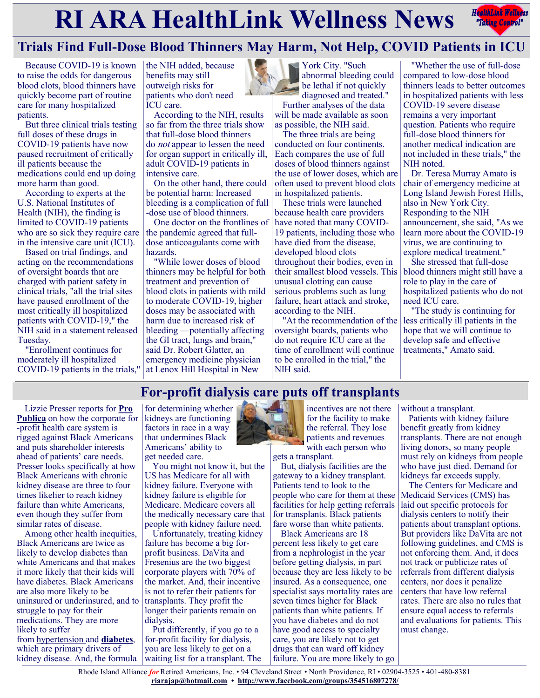# **RIARA HealthLink Wellness News** *<b>Redistribles Redistribles*



# **Trials Find Full-Dose Blood Thinners May Harm, Not Help, COVID Patients in ICU**

Because COVID-19 is known to raise the odds for dangerous blood clots, blood thinners have quickly become part of routine care for many hospitalized patients.

But three clinical trials testing full doses of these drugs in COVID-19 patients have now paused recruitment of critically ill patients because the medications could end up doing more harm than good.

According to experts at the U.S. National Institutes of Health (NIH), the finding is limited to COVID-19 patients who are so sick they require care in the intensive care unit (ICU).

Based on trial findings, and acting on the recommendations of oversight boards that are charged with patient safety in clinical trials, "all the trial sites have paused enrollment of the most critically ill hospitalized patients with COVID-19," the NIH said in a statement released Tuesday.

"Enrollment continues for moderately ill hospitalized COVID-19 patients in the trials,"

the NIH added, because benefits may still outweigh risks for patients who don't need ICU care.

According to the NIH, results so far from the three trials show that full-dose blood thinners do not appear to lessen the need for organ support in critically ill, adult COVID-19 patients in intensive care.

On the other hand, there could be potential harm: Increased bleeding is a complication of full -dose use of blood thinners.

One doctor on the frontlines of the pandemic agreed that fulldose anticoagulants come with hazards.

"While lower doses of blood thinners may be helpful for both treatment and prevention of blood clots in patients with mild to moderate COVID-19, higher doses may be associated with harm due to increased risk of bleeding —potentially affecting the GI tract, lungs and brain," said Dr. Robert Glatter, an emergency medicine physician at Lenox Hill Hospital in New



York City. "Such abnormal bleeding could be lethal if not quickly diagnosed and treated." Further analyses of the data

will be made available as soon as possible, the NIH said.

The three trials are being conducted on four continents. Each compares the use of full doses of blood thinners against the use of lower doses, which are often used to prevent blood clots in hospitalized patients.

These trials were launched because health care providers have noted that many COVID-19 patients, including those who have died from the disease, developed blood clots throughout their bodies, even in their smallest blood vessels. This unusual clotting can cause serious problems such as lung failure, heart attack and stroke, according to the NIH.

"At the recommendation of the oversight boards, patients who do not require ICU care at the time of enrollment will continue to be enrolled in the trial," the NIH said.

"Whether the use of full-dose compared to low-dose blood thinners leads to better outcomes in hospitalized patients with less COVID-19 severe disease remains a very important question. Patients who require full-dose blood thinners for another medical indication are not included in these trials," the NIH noted.

Dr. Teresa Murray Amato is chair of emergency medicine at Long Island Jewish Forest Hills, also in New York City. Responding to the NIH announcement, she said, "As we learn more about the COVID-19 virus, we are continuing to explore medical treatment."

She stressed that full-dose blood thinners might still have a role to play in the care of hospitalized patients who do not need ICU care.

"The study is continuing for less critically ill patients in the hope that we will continue to develop safe and effective treatments," Amato said.

## **For-profit dialysis care puts off transplants**

Lizzie Presser reports for **[Pro](https://features.propublica.org/covid-dialysis/for-years-jamarcus-crews-tried-to-get-a-new-kidney-but-corporate-healthcare-stood-in-the-way/)  [Publica](https://features.propublica.org/covid-dialysis/for-years-jamarcus-crews-tried-to-get-a-new-kidney-but-corporate-healthcare-stood-in-the-way/)** on how the corporate for -profit health care system is rigged against Black Americans and puts shareholder interests ahead of patients' care needs. Presser looks specifically at how Black Americans with chronic kidney disease are three to four times likelier to reach kidney failure than white Americans, even though they suffer from similar rates of disease.

Among other health inequities, Black Americans are twice as likely to develop diabetes than white Americans and that makes it more likely that their kids will have diabetes. Black Americans are also more likely to be uninsured or underinsured, and to struggle to pay for their medications. They are more likely to suffer from [hypertension](https://justcareusa.org/ten-tips-for-checking-your-blood-pressure-at-home/) and **[diabetes](https://justcareusa.org/medicare-covers-diabetes-prevention-program/)**, which are primary drivers of kidney disease. And, the formula

for determining whether kidneys are functioning factors in race in a way that undermines Black Americans' ability to get needed care.

You might not know it, but the US has Medicare for all with kidney failure. Everyone with kidney failure is eligible for Medicare. Medicare covers all the medically necessary care that people with kidney failure need.

Unfortunately, treating kidney failure has become a big forprofit business. DaVita and Fresenius are the two biggest corporate players with 70% of the market. And, their incentive is not to refer their patients for transplants. They profit the longer their patients remain on dialysis.

Put differently, if you go to a for-profit facility for dialysis, you are less likely to get on a waiting list for a transplant. The

incentives are not there for the facility to make the referral. They lose patients and revenues with each person who gets a transplant.

But, dialysis facilities are the gateway to a kidney transplant. Patients tend to look to the people who care for them at these facilities for help getting referrals for transplants. Black patients fare worse than white patients.

Black Americans are 18 percent less likely to get care from a nephrologist in the year before getting dialysis, in part because they are less likely to be insured. As a consequence, one specialist says mortality rates are seven times higher for Black patients than white patients. If you have diabetes and do not have good access to specialty care, you are likely not to get drugs that can ward off kidney failure. You are more likely to go without a transplant. Patients with kidney failure benefit greatly from kidney transplants. There are not enough living donors, so many people must rely on kidneys from people who have just died. Demand for kidneys far exceeds supply.

The Centers for Medicare and Medicaid Services (CMS) has laid out specific protocols for dialysis centers to notify their patients about transplant options. But providers like DaVita are not following guidelines, and CMS is not enforcing them. And, it does not track or publicize rates of referrals from different dialysis centers, nor does it penalize centers that have low referral rates. There are also no rules that ensure equal access to referrals and evaluations for patients. This must change.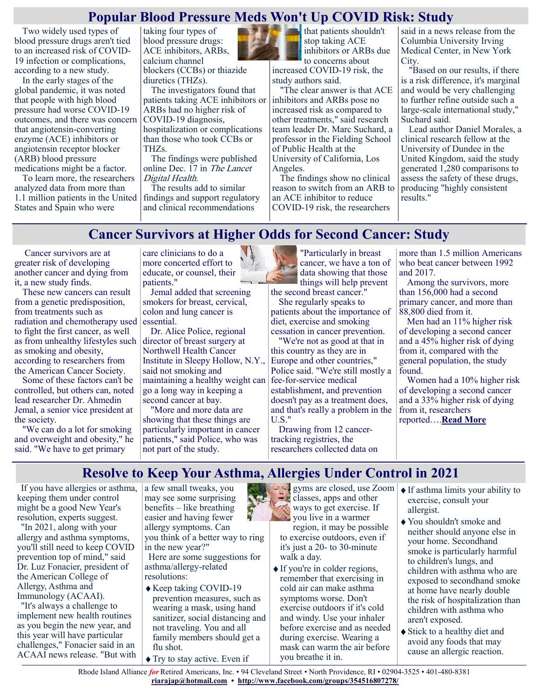#### **Popular Blood Pressure Meds Won't Up COVID Risk: Study**

Two widely used types of blood pressure drugs aren't tied to an increased risk of COVID-19 infection or complications, according to a new study.

In the early stages of the global pandemic, it was noted that people with high blood pressure had worse COVID-19 outcomes, and there was concern that angiotensin-converting enzyme (ACE) inhibitors or angiotensin receptor blocker (ARB) blood pressure medications might be a factor.

To learn more, the researchers analyzed data from more than 1.1 million patients in the United States and Spain who were

taking four types of blood pressure drugs: ACE inhibitors, ARBs, calcium channel blockers (CCBs) or thiazide diuretics (THZs).

The investigators found that patients taking ACE inhibitors or ARBs had no higher risk of COVID-19 diagnosis, hospitalization or complications than those who took CCBs or THZs.

The findings were published online Dec. 17 in The Lancet Digital Health.

The results add to similar findings and support regulatory and clinical recommendations



that patients shouldn't stop taking ACE inhibitors or ARBs due to concerns about increased COVID-19 risk, the

study authors said.

"The clear answer is that ACE inhibitors and ARBs pose no increased risk as compared to other treatments," said research team leader Dr. Marc Suchard, a professor in the Fielding School of Public Health at the University of California, Los Angeles.

The findings show no clinical reason to switch from an ARB to an ACE inhibitor to reduce COVID-19 risk, the researchers

said in a news release from the Columbia University Irving Medical Center, in New York City.

"Based on our results, if there is a risk difference, it's marginal and would be very challenging to further refine outside such a large-scale international study," Suchard said.

Lead author Daniel Morales, a clinical research fellow at the University of Dundee in the United Kingdom, said the study generated 1,280 comparisons to assess the safety of these drugs, producing "highly consistent results."

## **Cancer Survivors at Higher Odds for Second Cancer: Study**

Cancer survivors are at greater risk of developing another cancer and dying from it, a new study finds.

These new cancers can result from a genetic predisposition, from treatments such as radiation and chemotherapy used to fight the first cancer, as well as from unhealthy lifestyles such as smoking and obesity, according to researchers from the American Cancer Society.

Some of these factors can't be controlled, but others can, noted lead researcher Dr. Ahmedin Jemal, a senior vice president at the society.

"We can do a lot for smoking and overweight and obesity," he said. "We have to get primary

care clinicians to do a more concerted effort to educate, or counsel, their patients."

Jemal added that screening smokers for breast, cervical, colon and lung cancer is essential.

Dr. Alice Police, regional director of breast surgery at Northwell Health Cancer Institute in Sleepy Hollow, N.Y., said not smoking and maintaining a healthy weight can go a long way in keeping a second cancer at bay.

"More and more data are showing that these things are particularly important in cancer patients," said Police, who was not part of the study.



"Particularly in breast cancer, we have a ton of data showing that those things will help prevent

the second breast cancer." She regularly speaks to patients about the importance of

diet, exercise and smoking cessation in cancer prevention.

"We're not as good at that in this country as they are in Europe and other countries," Police said. "We're still mostly a fee-for-service medical establishment, and prevention doesn't pay as a treatment does, and that's really a problem in the U.S."

Drawing from 12 cancertracking registries, the researchers collected data on

more than 1.5 million Americans who beat cancer between 1992 and 2017.

Among the survivors, more than 156,000 had a second primary cancer, and more than 88,800 died from it.

Men had an 11% higher risk of developing a second cancer and a 45% higher risk of dying from it, compared with the general population, the study found.

Women had a 10% higher risk of developing a second cancer and a 33% higher risk of dying from it, researchers reported….**[Read More](https://consumer.healthday.com/12-29-cancer-survivors-at-higher-odds-for-second-cancer-study-2649619931.html)**

#### **Resolve to Keep Your Asthma, Allergies Under Control in 2021**

If you have allergies or asthma, keeping them under control might be a good New Year's resolution, experts suggest.

"In 2021, along with your allergy and asthma symptoms, you'll still need to keep COVID prevention top of mind," said Dr. Luz Fonacier, president of the American College of Allergy, Asthma and Immunology (ACAAI).

"It's always a challenge to implement new health routines as you begin the new year, and this year will have particular challenges," Fonacier said in an ACAAI news release. "But with a few small tweaks, you may see some surprising benefits – like breathing easier and having fewer allergy symptoms. Can you think of a better way to ring

in the new year?" Here are some suggestions for asthma/allergy-related resolutions:

- ◆ Keep taking COVID-19 prevention measures, such as wearing a mask, using hand sanitizer, social distancing and not traveling. You and all family members should get a flu shot.
- Try to stay active. Even if

gyms are closed, use Zoom classes, apps and other ways to get exercise. If you live in a warmer

region, it may be possible to exercise outdoors, even if it's just a 20- to 30-minute walk a day.

- If you're in colder regions, remember that exercising in cold air can make asthma symptoms worse. Don't exercise outdoors if it's cold and windy. Use your inhaler before exercise and as needed during exercise. Wearing a mask can warm the air before you breathe it in.
- If asthma limits your ability to exercise, consult your allergist.
- You shouldn't smoke and neither should anyone else in your home. Secondhand smoke is particularly harmful to children's lungs, and children with asthma who are exposed to secondhand smoke at home have nearly double the risk of hospitalization than children with asthma who aren't exposed.
- Stick to a healthy diet and avoid any foods that may cause an allergic reaction.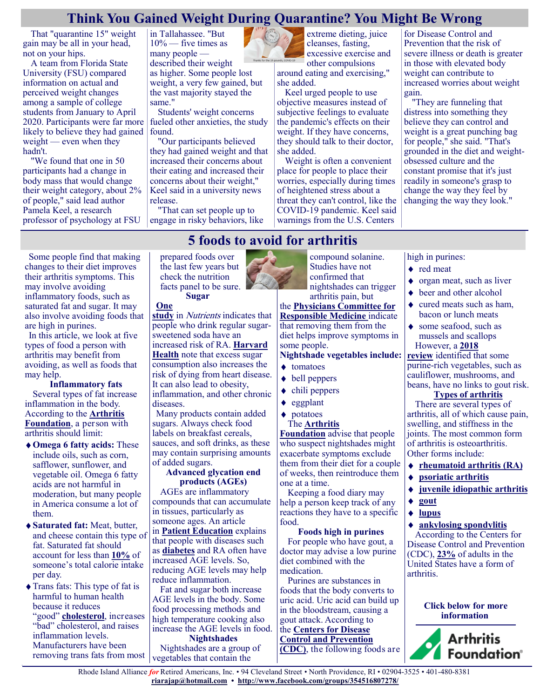## **Think You Gained Weight During Quarantine? You Might Be Wrong**

That "quarantine 15" weight gain may be all in your head, not on your hips.

A team from Florida State University (FSU) compared information on actual and perceived weight changes among a sample of college students from January to April 2020. Participants were far more likely to believe they had gained weight — even when they hadn't.

"We found that one in 50 participants had a change in body mass that would change their weight category, about 2% of people," said lead author Pamela Keel, a research professor of psychology at FSU

in Tallahassee. "But  $10\%$  — five times as many people described their weight

as higher. Some people lost weight, a very few gained, but the vast majority stayed the same."

Students' weight concerns fueled other anxieties, the study found.

"Our participants believed they had gained weight and that increased their concerns about their eating and increased their concerns about their weight," Keel said in a university news release.

"That can set people up to engage in risky behaviors, like



extreme dieting, juice cleanses, fasting, excessive exercise and other compulsions

around eating and exercising," she added.

Keel urged people to use objective measures instead of subjective feelings to evaluate the pandemic's effects on their weight. If they have concerns, they should talk to their doctor, she added.

Weight is often a convenient place for people to place their worries, especially during times of heightened stress about a threat they can't control, like the COVID-19 pandemic. Keel said warnings from the U.S. Centers

for Disease Control and Prevention that the risk of severe illness or death is greater in those with elevated body weight can contribute to increased worries about weight gain.

"They are funneling that distress into something they believe they can control and weight is a great punching bag for people," she said. "That's grounded in the diet and weightobsessed culture and the constant promise that it's just readily in someone's grasp to change the way they feel by changing the way they look."

Some people find that making changes to their diet improves their arthritis symptoms. This may involve avoiding inflammatory foods, such as saturated fat and sugar. It may also involve avoiding foods that are high in purines.

In this article, we look at five types of food a person with arthritis may benefit from avoiding, as well as foods that may help.

**Inflammatory fats** Several types of fat increase inflammation in the body. According to the **[Arthritis](https://www.arthritis.org/health-wellness/healthy-living/nutrition/foods-to-limit/fats-and-oils)  [Foundation](https://www.arthritis.org/health-wellness/healthy-living/nutrition/foods-to-limit/fats-and-oils)**, a person with arthritis should limit:

- **Omega 6 fatty acids:** These include oils, such as corn, safflower, sunflower, and vegetable oil. Omega 6 fatty acids are not harmful in moderation, but many people in America consume a lot of them.
- **Saturated fat:** Meat, butter, and cheese contain this type of fat. Saturated fat should account for less than **[10%](https://www.hhs.gov/fitness/eat-healthy/dietary-guidelines-for-americans/index.html)** of someone's total calorie intake per day.
- $\triangle$  Trans fats: This type of fat is harmful to human health because it reduces "good" **[cholesterol](https://www.medicalnewstoday.com/articles/9152)**, increases "bad" cholesterol, and raises inflammation levels. Manufacturers have been removing trans fats from most

prepared foods over the last few years but check the nutrition facts panel to be sure. **Sugar**

#### **[One](https://www.ncbi.nlm.nih.gov/pmc/articles/PMC7284442/)**

[study](https://www.ncbi.nlm.nih.gov/pmc/articles/PMC7284442/) in Nutrients indicates that people who drink regular sugarsweetened soda have an increased risk of RA. **[Harvard](https://www.health.harvard.edu/heart-health/the-sweet-danger-of-sugar)  [Health](https://www.health.harvard.edu/heart-health/the-sweet-danger-of-sugar)** note that excess sugar consumption also increases the risk of dying from heart disease. It can also lead to obesity, inflammation, and other chronic diseases.

Many products contain added sugars. Always check food labels on breakfast cereals, sauces, and soft drinks, as these may contain surprising amounts of added sugars.

#### **Advanced glycation end products (AGEs)**

AGEs are inflammatory compounds that can accumulate in tissues, particularly as someone ages. An article

in **[Patient Education](https://www.jrnjournal.org/article/S1051-2276(17)30104-8/pdf)** explains that people with diseases such as **[diabetes](https://www.medicalnewstoday.com/articles/323627)** and RA often have increased AGE levels. So, reducing AGE levels may help reduce inflammation.

Fat and sugar both increase AGE levels in the body. Some food processing methods and high temperature cooking also increase the AGE levels in food.

**Nightshades** Nightshades are a group of vegetables that contain the



**5 foods to avoid for arthritis**

Studies have not confirmed that nightshades can trigger arthritis pain, but the **[Physicians Committee for](https://www.pcrm.org/health-topics/arthritis)  [Responsible Medicine](https://www.pcrm.org/health-topics/arthritis)** indicate that removing them from the

diet helps improve symptoms in some people.

#### **Nightshade vegetables include:**

- $\triangle$  tomatoes
- ◆ bell peppers
- $\bullet$  chili peppers
- $\bullet$  eggplant
- $\blacklozenge$  potatoes

#### The **[Arthritis](https://www.arthritis.org/health-wellness/healthy-living/nutrition/healthy-eating/best-vegetables-for-arthritis#:~:text=Eggplants%2C%20peppers%2C%20tomatoes%20and%20potatoes,aggravates%20arthritis%20pain%20and%20inflammation.)**

**[Foundation](https://www.arthritis.org/health-wellness/healthy-living/nutrition/healthy-eating/best-vegetables-for-arthritis#:~:text=Eggplants%2C%20peppers%2C%20tomatoes%20and%20potatoes,aggravates%20arthritis%20pain%20and%20inflammation.)** advise that people who suspect nightshades might exacerbate symptoms exclude them from their diet for a couple of weeks, then reintroduce them one at a time.

Keeping a food diary may help a person keep track of any reactions they have to a specific food.

#### **Foods high in purines**

For people who have gout, a doctor may advise a low purine diet combined with the medication.

Purines are substances in foods that the body converts to uric acid. Uric acid can build up in the bloodstream, causing a gout attack. According to the **[Centers for Disease](https://www.cdc.gov/arthritis/basics/gout.html)  [Control and Prevention](https://www.cdc.gov/arthritis/basics/gout.html)  [\(CDC\)](https://www.cdc.gov/arthritis/basics/gout.html)**, the following foods are high in purines:

- ◆ red meat
- organ meat, such as liver
- ◆ beer and other alcohol
- $\triangleleft$  cured meats such as ham, bacon or lunch meats
- some seafood, such as mussels and scallops However, a **[2018](http://apjcn.nhri.org.tw/server/APJCN/27/6/1344.pdf)**

**[review](http://apjcn.nhri.org.tw/server/APJCN/27/6/1344.pdf)** identified that some purine-rich vegetables, such as cauliflower, mushrooms, and beans, have no links to gout risk.

#### **Types of arthritis**

There are several types of arthritis, all of which cause pain, swelling, and stiffness in the joints. The most common form of arthritis is osteoarthritis. Other forms include:

- **[rheumatoid arthritis \(RA\)](https://www.medicalnewstoday.com/articles/323361)**
- **[psoriatic arthritis](https://www.medicalnewstoday.com/articles/316841)**
- **[juvenile idiopathic arthritis](https://www.medicalnewstoday.com/articles/325708)**
- **[gout](https://www.medicalnewstoday.com/articles/144827)**
- **[lupus](http://www.medicalnewstoday.com/articles/323653)**
- **[ankylosing spondylitis](http://www.medicalnewstoday.com/articles/248217)** According to the Centers for

Disease Control and Prevention (CDC), **[23%](https://www.cdc.gov/chronicdisease/resources/publications/factsheets/arthritis.htm)** of adults in the United States have a form of arthritis.

#### **Click below for more information**

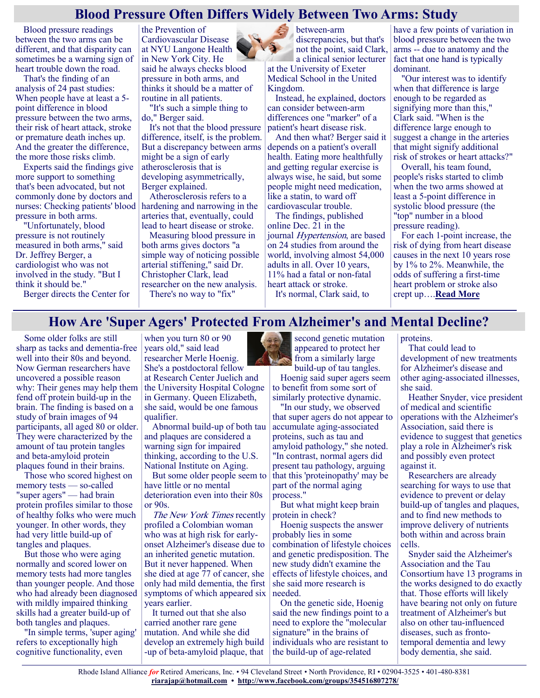#### **Blood Pressure Often Differs Widely Between Two Arms: Study**

Blood pressure readings between the two arms can be different, and that disparity can sometimes be a warning sign of heart trouble down the road.

That's the finding of an analysis of 24 past studies: When people have at least a 5 point difference in blood pressure between the two arms, their risk of heart attack, stroke or premature death inches up. And the greater the difference, the more those risks climb.

Experts said the findings give more support to something that's been advocated, but not commonly done by doctors and nurses: Checking patients' blood hardening and narrowing in the pressure in both arms.

"Unfortunately, blood pressure is not routinely measured in both arms," said Dr. Jeffrey Berger, a cardiologist who was not involved in the study. "But I think it should be." Berger directs the Center for the Prevention of Cardiovascular Disease at NYU Langone Health in New York City. He said he always checks blood pressure in both arms, and thinks it should be a matter of routine in all patients.

"It's such a simple thing to do," Berger said.

It's not that the blood pressure difference, itself, is the problem. But a discrepancy between arms might be a sign of early atherosclerosis that is developing asymmetrically, Berger explained.

Atherosclerosis refers to a arteries that, eventually, could lead to heart disease or stroke.

Measuring blood pressure in both arms gives doctors "a simple way of noticing possible arterial stiffening," said Dr. Christopher Clark, lead researcher on the new analysis. There's no way to "fix"

between-arm discrepancies, but that's not the point, said Clark,

a clinical senior lecturer at the University of Exeter Medical School in the United Kingdom.

Instead, he explained, doctors can consider between-arm differences one "marker" of a patient's heart disease risk.

And then what? Berger said it depends on a patient's overall health. Eating more healthfully and getting regular exercise is always wise, he said, but some people might need medication, like a statin, to ward off cardiovascular trouble.

The findings, published online Dec. 21 in the journal Hypertension, are based on 24 studies from around the world, involving almost 54,000 adults in all. Over 10 years, 11% had a fatal or non-fatal heart attack or stroke.

It's normal, Clark said, to

have a few points of variation in blood pressure between the two arms -- due to anatomy and the fact that one hand is typically dominant.

"Our interest was to identify when that difference is large enough to be regarded as signifying more than this," Clark said. "When is the difference large enough to suggest a change in the arteries that might signify additional risk of strokes or heart attacks?"

Overall, his team found, people's risks started to climb when the two arms showed at least a 5-point difference in systolic blood pressure (the "top" number in a blood pressure reading).

For each 1-point increase, the risk of dying from heart disease causes in the next 10 years rose by 1% to 2%. Meanwhile, the odds of suffering a first-time heart problem or stroke also crept up….**[Read More](https://consumer.healthday.com/12-28-blood-pressure-measurements-often-differ-widely-between-two-arms-study-2649591896.html)**

# **How Are 'Super Agers' Protected From Alzheimer's and Mental Decline?**

Some older folks are still sharp as tacks and dementia-free well into their 80s and beyond. Now German researchers have uncovered a possible reason why: Their genes may help them fend off protein build-up in the brain. The finding is based on a study of brain images of 94 participants, all aged 80 or older. They were characterized by the amount of tau protein tangles and beta-amyloid protein plaques found in their brains.

Those who scored highest on memory tests — so-called "super agers" — had brain protein profiles similar to those of healthy folks who were much younger. In other words, they had very little build-up of tangles and plaques.

But those who were aging normally and scored lower on memory tests had more tangles than younger people. And those who had already been diagnosed with mildly impaired thinking skills had a greater build-up of both tangles and plaques.

"In simple terms, 'super aging' refers to exceptionally high cognitive functionality, even

when you turn 80 or 90 years old," said lead researcher Merle Hoenig. She's a postdoctoral fellow at Research Center Juelich and the University Hospital Cologne in Germany. Queen Elizabeth, she said, would be one famous qualifier.

Abnormal build-up of both tau and plaques are considered a warning sign for impaired thinking, according to the U.S. National Institute on Aging.

But some older people seem to have little or no mental deterioration even into their 80s or 90s.

The New York Times recently profiled a Colombian woman who was at high risk for earlyonset Alzheimer's disease due to an inherited genetic mutation. But it never happened. When she died at age 77 of cancer, she only had mild dementia, the first symptoms of which appeared six years earlier.

It turned out that she also carried another rare gene mutation. And while she did develop an extremely high build -up of beta-amyloid plaque, that

second genetic mutation appeared to protect her from a similarly large build-up of tau tangles.

Hoenig said super agers seem to benefit from some sort of similarly protective dynamic.

"In our study, we observed that super agers do not appear to accumulate aging-associated proteins, such as tau and amyloid pathology," she noted. "In contrast, normal agers did present tau pathology, arguing that this 'proteinopathy' may be part of the normal aging process."

But what might keep brain protein in check?

Hoenig suspects the answer probably lies in some combination of lifestyle choices and genetic predisposition. The new study didn't examine the effects of lifestyle choices, and she said more research is needed.

On the genetic side, Hoenig said the new findings point to a need to explore the "molecular signature" in the brains of individuals who are resistant to the build-up of age-related

proteins.

That could lead to development of new treatments for Alzheimer's disease and other aging-associated illnesses, she said.

Heather Snyder, vice president of medical and scientific operations with the Alzheimer's Association, said there is evidence to suggest that genetics play a role in Alzheimer's risk and possibly even protect against it.

Researchers are already searching for ways to use that evidence to prevent or delay build-up of tangles and plaques, and to find new methods to improve delivery of nutrients both within and across brain cells.

Snyder said the Alzheimer's Association and the Tau Consortium have 13 programs in the works designed to do exactly that. Those efforts will likely have bearing not only on future treatment of Alzheimer's but also on other tau-influenced diseases, such as frontotemporal dementia and lewy body dementia, she said.